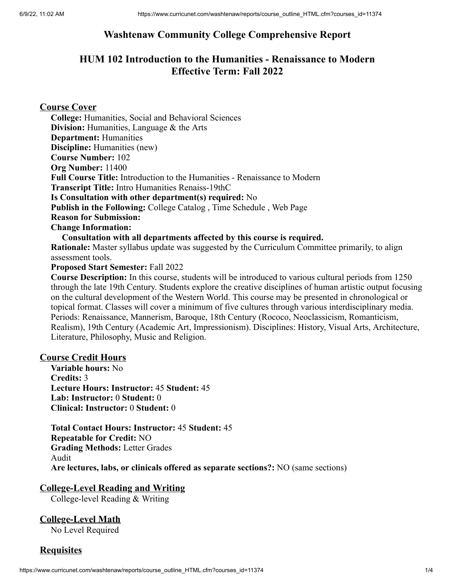# **Washtenaw Community College Comprehensive Report**

# **HUM 102 Introduction to the Humanities - Renaissance to Modern Effective Term: Fall 2022**

### **Course Cover**

**College:** Humanities, Social and Behavioral Sciences **Division:** Humanities, Language & the Arts **Department:** Humanities **Discipline:** Humanities (new) **Course Number:** 102 **Org Number:** 11400 **Full Course Title:** Introduction to the Humanities - Renaissance to Modern **Transcript Title:** Intro Humanities Renaiss-19thC **Is Consultation with other department(s) required:** No **Publish in the Following:** College Catalog , Time Schedule , Web Page **Reason for Submission: Change Information: Consultation with all departments affected by this course is required.**

**Rationale:** Master syllabus update was suggested by the Curriculum Committee primarily, to align assessment tools.

#### **Proposed Start Semester:** Fall 2022

**Course Description:** In this course, students will be introduced to various cultural periods from 1250 through the late 19th Century. Students explore the creative disciplines of human artistic output focusing on the cultural development of the Western World. This course may be presented in chronological or topical format. Classes will cover a minimum of five cultures through various interdisciplinary media. Periods: Renaissance, Mannerism, Baroque, 18th Century (Rococo, Neoclassicism, Romanticism, Realism), 19th Century (Academic Art, Impressionism). Disciplines: History, Visual Arts, Architecture, Literature, Philosophy, Music and Religion.

### **Course Credit Hours**

**Variable hours:** No **Credits:** 3 **Lecture Hours: Instructor:** 45 **Student:** 45 **Lab: Instructor:** 0 **Student:** 0 **Clinical: Instructor:** 0 **Student:** 0

**Total Contact Hours: Instructor:** 45 **Student:** 45 **Repeatable for Credit:** NO **Grading Methods:** Letter Grades Audit **Are lectures, labs, or clinicals offered as separate sections?:** NO (same sections)

### **College-Level Reading and Writing**

College-level Reading & Writing

**College-Level Math** No Level Required

### **Requisites**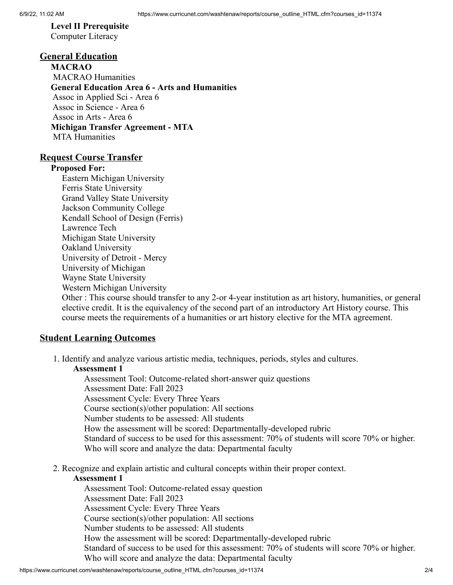# **Level II Prerequisite**

Computer Literacy

### **General Education**

**MACRAO** MACRAO Humanities **General Education Area 6 - Arts and Humanities** Assoc in Applied Sci - Area 6 Assoc in Science - Area 6 Assoc in Arts - Area 6 **Michigan Transfer Agreement - MTA** MTA Humanities

#### **Request Course Transfer**

#### **Proposed For:**

Eastern Michigan University Ferris State University Grand Valley State University Jackson Community College Kendall School of Design (Ferris) Lawrence Tech Michigan State University Oakland University University of Detroit - Mercy University of Michigan Wayne State University Western Michigan University

Other : This course should transfer to any 2-or 4-year institution as art history, humanities, or general elective credit. It is the equivalency of the second part of an introductory Art History course. This course meets the requirements of a humanities or art history elective for the MTA agreement.

### **Student Learning Outcomes**

1. Identify and analyze various artistic media, techniques, periods, styles and cultures.

#### **Assessment 1**

Assessment Tool: Outcome-related short-answer quiz questions Assessment Date: Fall 2023 Assessment Cycle: Every Three Years Course section(s)/other population: All sections Number students to be assessed: All students How the assessment will be scored: Departmentally-developed rubric Standard of success to be used for this assessment: 70% of students will score 70% or higher. Who will score and analyze the data: Departmental faculty

2. Recognize and explain artistic and cultural concepts within their proper context.

#### **Assessment 1**

Assessment Tool: Outcome-related essay question Assessment Date: Fall 2023 Assessment Cycle: Every Three Years Course section(s)/other population: All sections Number students to be assessed: All students How the assessment will be scored: Departmentally-developed rubric Standard of success to be used for this assessment: 70% of students will score 70% or higher. Who will score and analyze the data: Departmental faculty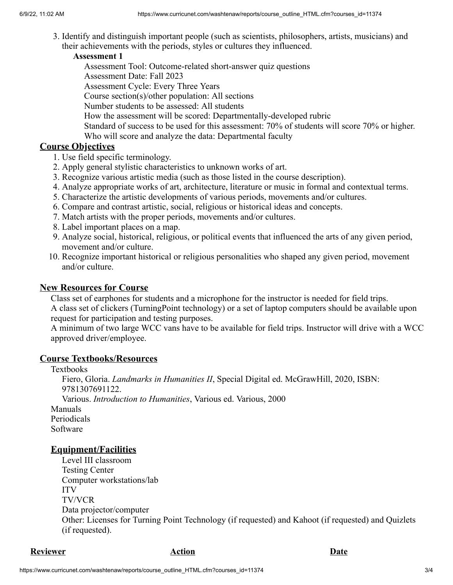3. Identify and distinguish important people (such as scientists, philosophers, artists, musicians) and their achievements with the periods, styles or cultures they influenced.

### **Assessment 1**

Assessment Tool: Outcome-related short-answer quiz questions

Assessment Date: Fall 2023

Assessment Cycle: Every Three Years

Course section(s)/other population: All sections

Number students to be assessed: All students

How the assessment will be scored: Departmentally-developed rubric

Standard of success to be used for this assessment: 70% of students will score 70% or higher.

Who will score and analyze the data: Departmental faculty

# **Course Objectives**

1. Use field specific terminology.

- 2. Apply general stylistic characteristics to unknown works of art.
- 3. Recognize various artistic media (such as those listed in the course description).
- 4. Analyze appropriate works of art, architecture, literature or music in formal and contextual terms.
- 5. Characterize the artistic developments of various periods, movements and/or cultures.
- 6. Compare and contrast artistic, social, religious or historical ideas and concepts.
- 7. Match artists with the proper periods, movements and/or cultures.
- 8. Label important places on a map.
- 9. Analyze social, historical, religious, or political events that influenced the arts of any given period, movement and/or culture.
- 10. Recognize important historical or religious personalities who shaped any given period, movement and/or culture.

# **New Resources for Course**

Class set of earphones for students and a microphone for the instructor is needed for field trips. A class set of clickers (TurningPoint technology) or a set of laptop computers should be available upon request for participation and testing purposes.

A minimum of two large WCC vans have to be available for field trips. Instructor will drive with a WCC approved driver/employee.

# **Course Textbooks/Resources**

Textbooks

Fiero, Gloria. *Landmarks in Humanities II*, Special Digital ed. McGrawHill, 2020, ISBN: 9781307691122. Various. *Introduction to Humanities*, Various ed. Various, 2000 Manuals Periodicals

Software

# **Equipment/Facilities**

Level III classroom Testing Center Computer workstations/lab ITV TV/VCR Data projector/computer Other: Licenses for Turning Point Technology (if requested) and Kahoot (if requested) and Quizlets (if requested).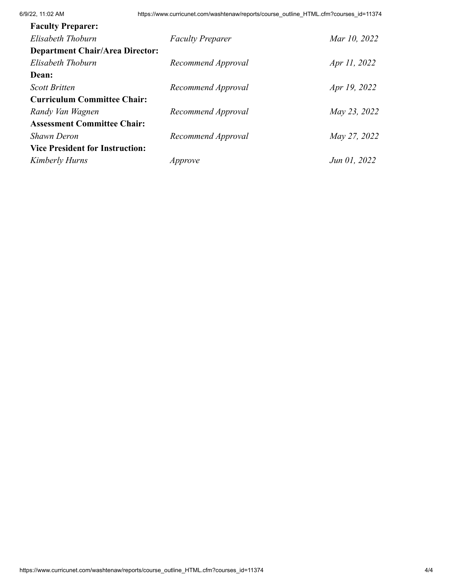| <b>Faculty Preparer:</b>               |                         |              |
|----------------------------------------|-------------------------|--------------|
| Elisabeth Thoburn                      | <b>Faculty Preparer</b> | Mar 10, 2022 |
| <b>Department Chair/Area Director:</b> |                         |              |
| Elisabeth Thoburn                      | Recommend Approval      | Apr 11, 2022 |
| Dean:                                  |                         |              |
| <b>Scott Britten</b>                   | Recommend Approval      | Apr 19, 2022 |
| <b>Curriculum Committee Chair:</b>     |                         |              |
| Randy Van Wagnen                       | Recommend Approval      | May 23, 2022 |
| <b>Assessment Committee Chair:</b>     |                         |              |
| <b>Shawn Deron</b>                     | Recommend Approval      | May 27, 2022 |
| <b>Vice President for Instruction:</b> |                         |              |
| Kimberly Hurns                         | Approve                 | Jun 01, 2022 |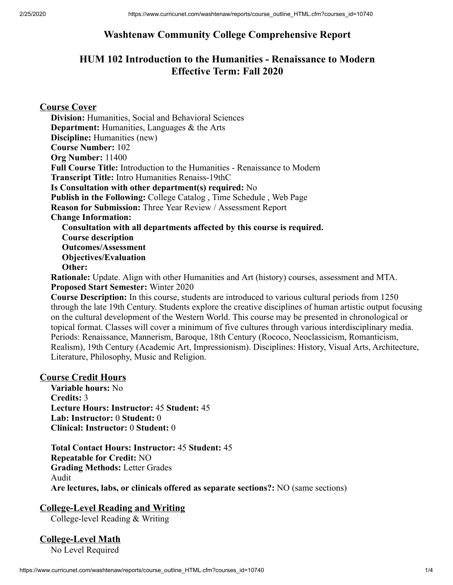# **Washtenaw Community College Comprehensive Report**

# **HUM 102 Introduction to the Humanities - Renaissance to Modern Effective Term: Fall 2020**

**Course Cover**

**Division:** Humanities, Social and Behavioral Sciences **Department:** Humanities, Languages & the Arts **Discipline:** Humanities (new) **Course Number:** 102 **Org Number:** 11400 **Full Course Title:** Introduction to the Humanities - Renaissance to Modern **Transcript Title:** Intro Humanities Renaiss-19thC **Is Consultation with other department(s) required:** No **Publish in the Following:** College Catalog , Time Schedule , Web Page **Reason for Submission:** Three Year Review / Assessment Report **Change Information: Consultation with all departments affected by this course is required. Course description Outcomes/Assessment Objectives/Evaluation Other: Rationale:** Update. Align with other Humanities and Art (history) courses, assessment and MTA.

**Proposed Start Semester:** Winter 2020

**Course Description:** In this course, students are introduced to various cultural periods from 1250 through the late 19th Century. Students explore the creative disciplines of human artistic output focusing on the cultural development of the Western World. This course may be presented in chronological or topical format. Classes will cover a minimum of five cultures through various interdisciplinary media. Periods: Renaissance, Mannerism, Baroque, 18th Century (Rococo, Neoclassicism, Romanticism, Realism), 19th Century (Academic Art, Impressionism). Disciplines: History, Visual Arts, Architecture, Literature, Philosophy, Music and Religion.

### **Course Credit Hours**

**Variable hours:** No **Credits:** 3 **Lecture Hours: Instructor:** 45 **Student:** 45 **Lab: Instructor:** 0 **Student:** 0 **Clinical: Instructor:** 0 **Student:** 0

**Total Contact Hours: Instructor:** 45 **Student:** 45 **Repeatable for Credit:** NO **Grading Methods:** Letter Grades Audit **Are lectures, labs, or clinicals offered as separate sections?:** NO (same sections)

# **College-Level Reading and Writing**

College-level Reading & Writing

**College-Level Math**

No Level Required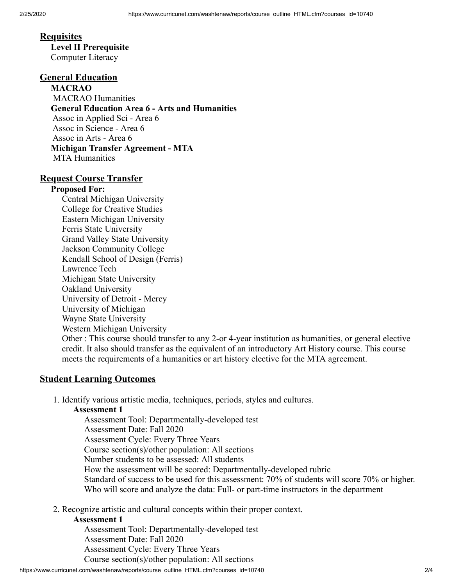### **Requisites**

**Level II Prerequisite** Computer Literacy

# **General Education**

**MACRAO** MACRAO Humanities **General Education Area 6 - Arts and Humanities** Assoc in Applied Sci - Area 6 Assoc in Science - Area 6 Assoc in Arts - Area 6 **Michigan Transfer Agreement - MTA** MTA Humanities

### **Request Course Transfer**

#### **Proposed For:**

Central Michigan University College for Creative Studies Eastern Michigan University Ferris State University Grand Valley State University Jackson Community College Kendall School of Design (Ferris) Lawrence Tech Michigan State University Oakland University University of Detroit - Mercy University of Michigan Wayne State University Western Michigan University Other : This course should transfer to any 2-or 4-year institution as humanities, or general elective credit. It also should transfer as the equivalent of an introductory Art History course. This course

### **Student Learning Outcomes**

1. Identify various artistic media, techniques, periods, styles and cultures.

meets the requirements of a humanities or art history elective for the MTA agreement.

#### **Assessment 1**

Assessment Tool: Departmentally-developed test Assessment Date: Fall 2020 Assessment Cycle: Every Three Years Course section(s)/other population: All sections Number students to be assessed: All students How the assessment will be scored: Departmentally-developed rubric Standard of success to be used for this assessment: 70% of students will score 70% or higher. Who will score and analyze the data: Full- or part-time instructors in the department

2. Recognize artistic and cultural concepts within their proper context.

#### **Assessment 1**

Assessment Tool: Departmentally-developed test Assessment Date: Fall 2020 Assessment Cycle: Every Three Years Course section(s)/other population: All sections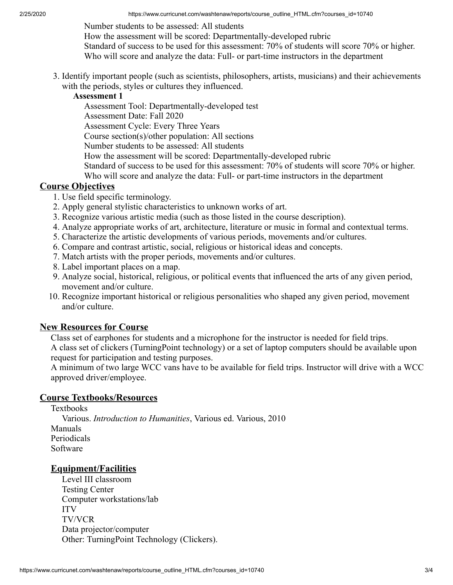Number students to be assessed: All students

How the assessment will be scored: Departmentally-developed rubric

Standard of success to be used for this assessment: 70% of students will score 70% or higher. Who will score and analyze the data: Full- or part-time instructors in the department

3. Identify important people (such as scientists, philosophers, artists, musicians) and their achievements with the periods, styles or cultures they influenced.

#### **Assessment 1**

Assessment Tool: Departmentally-developed test

Assessment Date: Fall 2020

Assessment Cycle: Every Three Years

Course section(s)/other population: All sections

Number students to be assessed: All students

How the assessment will be scored: Departmentally-developed rubric

Standard of success to be used for this assessment: 70% of students will score 70% or higher.

Who will score and analyze the data: Full- or part-time instructors in the department

### **Course Objectives**

- 1. Use field specific terminology.
- 2. Apply general stylistic characteristics to unknown works of art.
- 3. Recognize various artistic media (such as those listed in the course description).
- 4. Analyze appropriate works of art, architecture, literature or music in formal and contextual terms.
- 5. Characterize the artistic developments of various periods, movements and/or cultures.
- 6. Compare and contrast artistic, social, religious or historical ideas and concepts.
- 7. Match artists with the proper periods, movements and/or cultures.
- 8. Label important places on a map.
- 9. Analyze social, historical, religious, or political events that influenced the arts of any given period, movement and/or culture.
- 10. Recognize important historical or religious personalities who shaped any given period, movement and/or culture.

### **New Resources for Course**

Class set of earphones for students and a microphone for the instructor is needed for field trips. A class set of clickers (TurningPoint technology) or a set of laptop computers should be available upon request for participation and testing purposes.

A minimum of two large WCC vans have to be available for field trips. Instructor will drive with a WCC approved driver/employee.

### **Course Textbooks/Resources**

Textbooks Various. *Introduction to Humanities*, Various ed. Various, 2010 Manuals Periodicals Software

# **Equipment/Facilities**

Level III classroom Testing Center Computer workstations/lab ITV TV/VCR Data projector/computer Other: TurningPoint Technology (Clickers).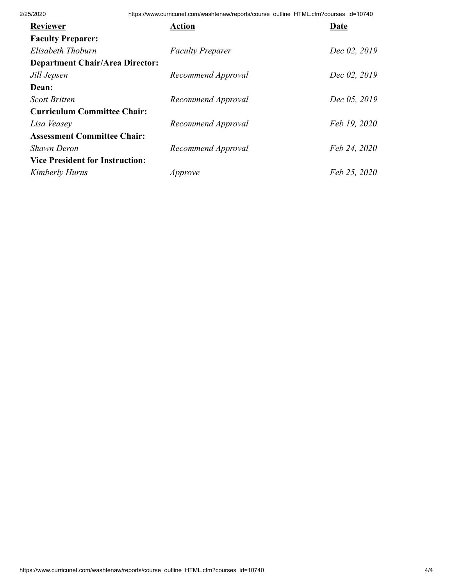2/25/2020 https://www.curricunet.com/washtenaw/reports/course\_outline\_HTML.cfm?courses\_id=10740

| <b>Reviewer</b>                        | <b>Action</b>           | Date         |
|----------------------------------------|-------------------------|--------------|
| <b>Faculty Preparer:</b>               |                         |              |
| Elisabeth Thoburn                      | <b>Faculty Preparer</b> | Dec 02, 2019 |
| <b>Department Chair/Area Director:</b> |                         |              |
| Jill Jepsen                            | Recommend Approval      | Dec 02, 2019 |
| Dean:                                  |                         |              |
| <b>Scott Britten</b>                   | Recommend Approval      | Dec 05, 2019 |
| <b>Curriculum Committee Chair:</b>     |                         |              |
| Lisa Veasey                            | Recommend Approval      | Feb 19, 2020 |
| <b>Assessment Committee Chair:</b>     |                         |              |
| <b>Shawn Deron</b>                     | Recommend Approval      | Feb 24, 2020 |
| <b>Vice President for Instruction:</b> |                         |              |
| Kimberly Hurns                         | Approve                 | Feb 25, 2020 |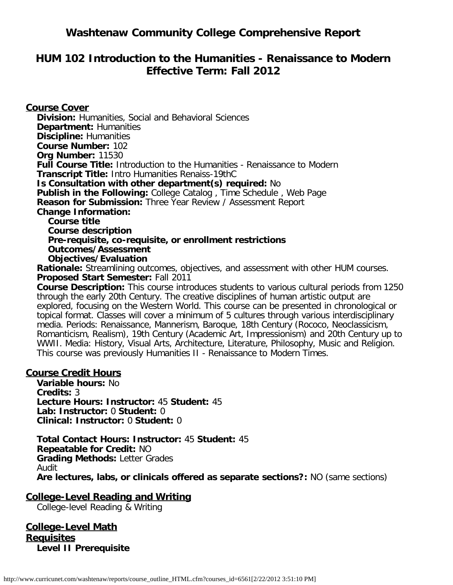# **Washtenaw Community College Comprehensive Report**

# **HUM 102 Introduction to the Humanities - Renaissance to Modern Effective Term: Fall 2012**

### **Course Cover**

**Division:** Humanities, Social and Behavioral Sciences **Department:** Humanities **Discipline:** Humanities **Course Number:** 102 **Org Number:** 11530 **Full Course Title:** Introduction to the Humanities - Renaissance to Modern **Transcript Title:** Intro Humanities Renaiss-19thC **Is Consultation with other department(s) required:** No **Publish in the Following:** College Catalog , Time Schedule , Web Page **Reason for Submission:** Three Year Review / Assessment Report **Change Information: Course title Course description Pre-requisite, co-requisite, or enrollment restrictions Outcomes/Assessment Objectives/Evaluation**

**Rationale:** Streamlining outcomes, objectives, and assessment with other HUM courses. **Proposed Start Semester:** Fall 2011

**Course Description:** This course introduces students to various cultural periods from 1250 through the early 20th Century. The creative disciplines of human artistic output are explored, focusing on the Western World. This course can be presented in chronological or topical format. Classes will cover a minimum of 5 cultures through various interdisciplinary media. Periods: Renaissance, Mannerism, Baroque, 18th Century (Rococo, Neoclassicism, Romanticism, Realism), 19th Century (Academic Art, Impressionism) and 20th Century up to WWII. Media: History, Visual Arts, Architecture, Literature, Philosophy, Music and Religion. This course was previously Humanities II - Renaissance to Modern Times.

### **Course Credit Hours**

**Variable hours:** No **Credits:** 3 **Lecture Hours: Instructor:** 45 **Student:** 45 **Lab: Instructor:** 0 **Student:** 0 **Clinical: Instructor:** 0 **Student:** 0

**Total Contact Hours: Instructor:** 45 **Student:** 45 **Repeatable for Credit:** NO **Grading Methods:** Letter Grades Audit **Are lectures, labs, or clinicals offered as separate sections?:** NO (same sections)

**College-Level Reading and Writing**

College-level Reading & Writing

**College-Level Math Requisites Level II Prerequisite**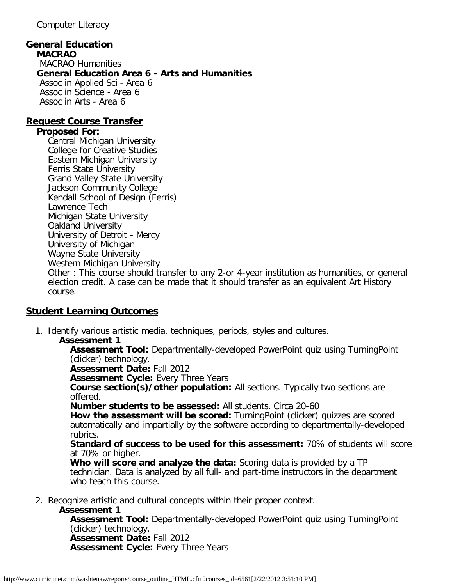Computer Literacy

# **General Education**

**MACRAO** MACRAO Humanities **General Education Area 6 - Arts and Humanities** Assoc in Applied Sci - Area 6 Assoc in Science - Area 6 Assoc in Arts - Area 6

### **Request Course Transfer**

### **Proposed For:**

Central Michigan University College for Creative Studies Eastern Michigan University Ferris State University Grand Valley State University Jackson Community College Kendall School of Design (Ferris) Lawrence Tech Michigan State University Oakland University University of Detroit - Mercy University of Michigan Wayne State University Western Michigan University

Other : This course should transfer to any 2-or 4-year institution as humanities, or general election credit. A case can be made that it should transfer as an equivalent Art History course.

# **Student Learning Outcomes**

- 1. Identify various artistic media, techniques, periods, styles and cultures.
	- **Assessment 1**

**Assessment Tool:** Departmentally-developed PowerPoint quiz using TurningPoint (clicker) technology.

**Assessment Date:** Fall 2012

**Assessment Cycle:** Every Three Years

**Course section(s)/other population:** All sections. Typically two sections are offered.

**Number students to be assessed:** All students. Circa 20-60

**How the assessment will be scored:** TurningPoint (clicker) quizzes are scored automatically and impartially by the software according to departmentally-developed rubrics.

**Standard of success to be used for this assessment:** 70% of students will score at 70% or higher.

**Who will score and analyze the data:** Scoring data is provided by a TP technician. Data is analyzed by all full- and part-time instructors in the department who teach this course.

2. Recognize artistic and cultural concepts within their proper context.

### **Assessment 1**

**Assessment Tool:** Departmentally-developed PowerPoint quiz using TurningPoint (clicker) technology. **Assessment Date:** Fall 2012 **Assessment Cycle:** Every Three Years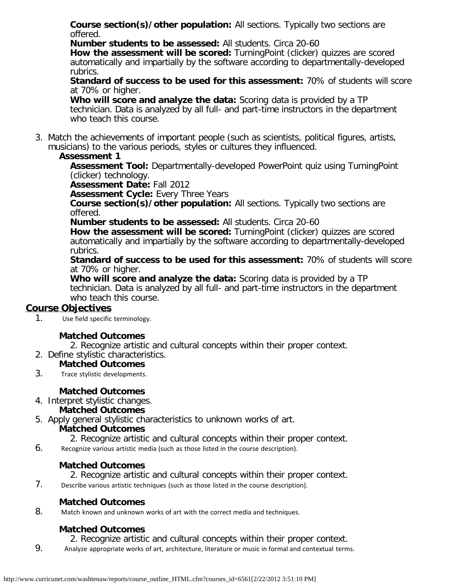**Course section(s)/other population:** All sections. Typically two sections are offered.

**Number students to be assessed:** All students. Circa 20-60

**How the assessment will be scored:** TurningPoint (clicker) quizzes are scored automatically and impartially by the software according to departmentally-developed rubrics.

**Standard of success to be used for this assessment:** 70% of students will score at 70% or higher.

**Who will score and analyze the data:** Scoring data is provided by a TP technician. Data is analyzed by all full- and part-time instructors in the department who teach this course.

3. Match the achievements of important people (such as scientists, political figures, artists, musicians) to the various periods, styles or cultures they influenced.

### **Assessment 1**

**Assessment Tool:** Departmentally-developed PowerPoint quiz using TurningPoint (clicker) technology.

**Assessment Date:** Fall 2012

**Assessment Cycle: Every Three Years** 

**Course section(s)/other population:** All sections. Typically two sections are offered.

**Number students to be assessed:** All students. Circa 20-60

**How the assessment will be scored:** TurningPoint (clicker) quizzes are scored automatically and impartially by the software according to departmentally-developed rubrics.

**Standard of success to be used for this assessment:** 70% of students will score at 70% or higher.

**Who will score and analyze the data:** Scoring data is provided by a TP technician. Data is analyzed by all full- and part-time instructors in the department who teach this course.

# **Course Objectives**

1. Use field specific terminology.

# **Matched Outcomes**

2. Recognize artistic and cultural concepts within their proper context.

2. Define stylistic characteristics.

### **Matched Outcomes**

3. Trace stylistic developments.

# **Matched Outcomes**

4. Interpret stylistic changes. **Matched Outcomes**

5. Apply general stylistic characteristics to unknown works of art.

### **Matched Outcomes**

- 2. Recognize artistic and cultural concepts within their proper context.
- 6. Recognize various artistic media (such as those listed in the course description).

### **Matched Outcomes**

- 2. Recognize artistic and cultural concepts within their proper context.
- 7. Describe various artistic techniques (such as those listed in the course description).

### **Matched Outcomes**

8. Match known and unknown works of art with the correct media and techniques.

# **Matched Outcomes**

2. Recognize artistic and cultural concepts within their proper context.

9. Analyze appropriate works of art, architecture, literature or music in formal and contextual terms.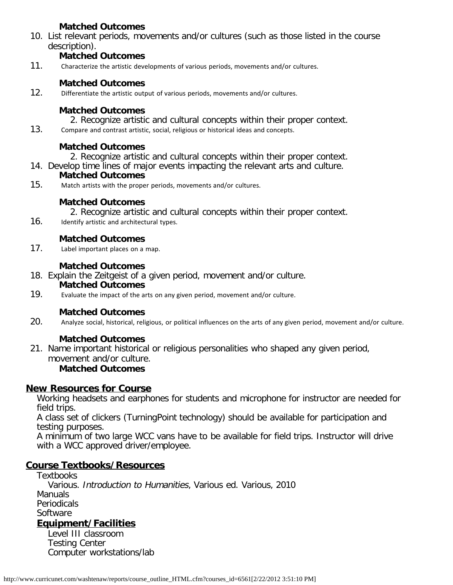### **Matched Outcomes**

10. List relevant periods, movements and/or cultures (such as those listed in the course description).

### **Matched Outcomes**

11. Characterize the artistic developments of various periods, movements and/or cultures.

### **Matched Outcomes**

12. Differentiate the artistic output of various periods, movements and/or cultures.

### **Matched Outcomes**

- 2. Recognize artistic and cultural concepts within their proper context.
- 13. Compare and contrast artistic, social, religious or historical ideas and concepts.

### **Matched Outcomes**

2. Recognize artistic and cultural concepts within their proper context.

14. Develop time lines of major events impacting the relevant arts and culture.

# **Matched Outcomes**

15. Match artists with the proper periods, movements and/or cultures.

### **Matched Outcomes**

2. Recognize artistic and cultural concepts within their proper context.

16. Identify artistic and architectural types.

# **Matched Outcomes**

17. Label important places on a map.

### **Matched Outcomes**

- 18. Explain the Zeitgeist of a given period, movement and/or culture. **Matched Outcomes**
- 19. Evaluate the impact of the arts on any given period, movement and/or culture.

# **Matched Outcomes**

20. Analyze social, historical, religious, or political influences on the arts of any given period, movement and/or culture.

# **Matched Outcomes**

21. Name important historical or religious personalities who shaped any given period, movement and/or culture. **Matched Outcomes**

# **New Resources for Course**

Working headsets and earphones for students and microphone for instructor are needed for field trips.

A class set of clickers (TurningPoint technology) should be available for participation and testing purposes.

A minimum of two large WCC vans have to be available for field trips. Instructor will drive with a WCC approved driver/employee.

# **Course Textbooks/Resources**

**Textbooks** Various. Introduction to Humanities, Various ed. Various, 2010 Manuals Periodicals **Software Equipment/Facilities**

Level III classroom Testing Center Computer workstations/lab